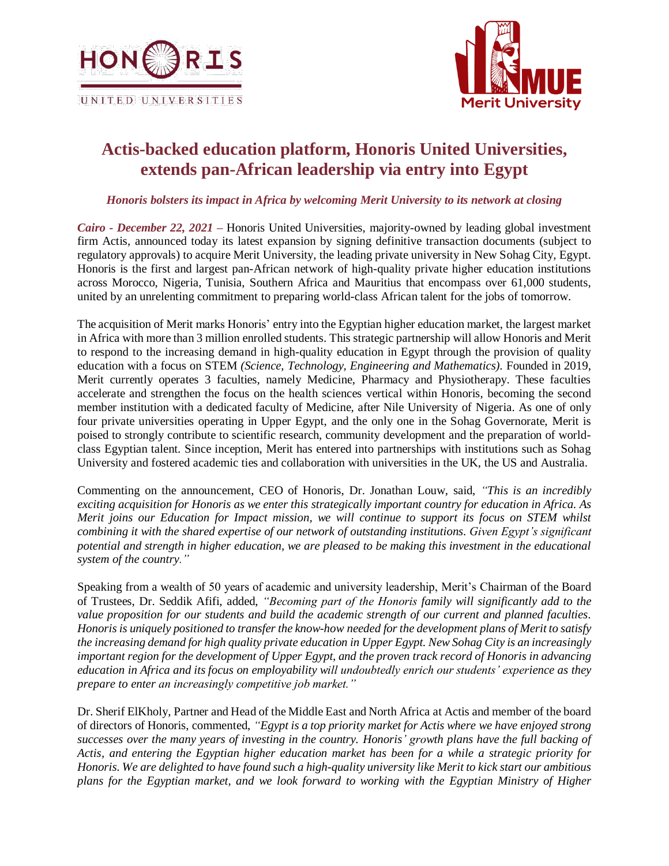



# **Actis-backed education platform, Honoris United Universities, extends pan-African leadership via entry into Egypt**

### *Honoris bolsters its impact in Africa by welcoming Merit University to its network at closing*

*Cairo - December 22, 2021 –* Honoris United Universities, majority-owned by leading global investment firm Actis, announced today its latest expansion by signing definitive transaction documents (subject to regulatory approvals) to acquire Merit University, the leading private university in New Sohag City, Egypt. Honoris is the first and largest pan-African network of high-quality private higher education institutions across Morocco, Nigeria, Tunisia, Southern Africa and Mauritius that encompass over 61,000 students, united by an unrelenting commitment to preparing world-class African talent for the jobs of tomorrow.

The acquisition of Merit marks Honoris' entry into the Egyptian higher education market, the largest market in Africa with more than 3 million enrolled students. This strategic partnership will allow Honoris and Merit to respond to the increasing demand in high-quality education in Egypt through the provision of quality education with a focus on STEM *(Science, Technology, Engineering and Mathematics).* Founded in 2019, Merit currently operates 3 faculties, namely Medicine, Pharmacy and Physiotherapy. These faculties accelerate and strengthen the focus on the health sciences vertical within Honoris, becoming the second member institution with a dedicated faculty of Medicine, after Nile University of Nigeria. As one of only four private universities operating in Upper Egypt, and the only one in the Sohag Governorate, Merit is poised to strongly contribute to scientific research, community development and the preparation of worldclass Egyptian talent. Since inception, Merit has entered into partnerships with institutions such as Sohag University and fostered academic ties and collaboration with universities in the UK, the US and Australia.

Commenting on the announcement, CEO of Honoris, Dr. Jonathan Louw, said, *"This is an incredibly exciting acquisition for Honoris as we enter this strategically important country for education in Africa. As Merit joins our Education for Impact mission, we will continue to support its focus on STEM whilst combining it with the shared expertise of our network of outstanding institutions. Given Egypt's significant potential and strength in higher education, we are pleased to be making this investment in the educational system of the country."*

Speaking from a wealth of 50 years of academic and university leadership, Merit's Chairman of the Board of Trustees, Dr. Seddik Afifi, added, *"Becoming part of the Honoris family will significantly add to the value proposition for our students and build the academic strength of our current and planned faculties. Honoris is uniquely positioned to transfer the know-how needed for the development plans of Merit to satisfy the increasing demand for high quality private education in Upper Egypt. New Sohag City is an increasingly important region for the development of Upper Egypt, and the proven track record of Honoris in advancing education in Africa and its focus on employability will undoubtedly enrich our students' experience as they prepare to enter an increasingly competitive job market."*

Dr. Sherif ElKholy, Partner and Head of the Middle East and North Africa at Actis and member of the board of directors of Honoris, commented, *"Egypt is a top priority market for Actis where we have enjoyed strong successes over the many years of investing in the country. Honoris' growth plans have the full backing of Actis, and entering the Egyptian higher education market has been for a while a strategic priority for Honoris. We are delighted to have found such a high-quality university like Merit to kick start our ambitious plans for the Egyptian market, and we look forward to working with the Egyptian Ministry of Higher*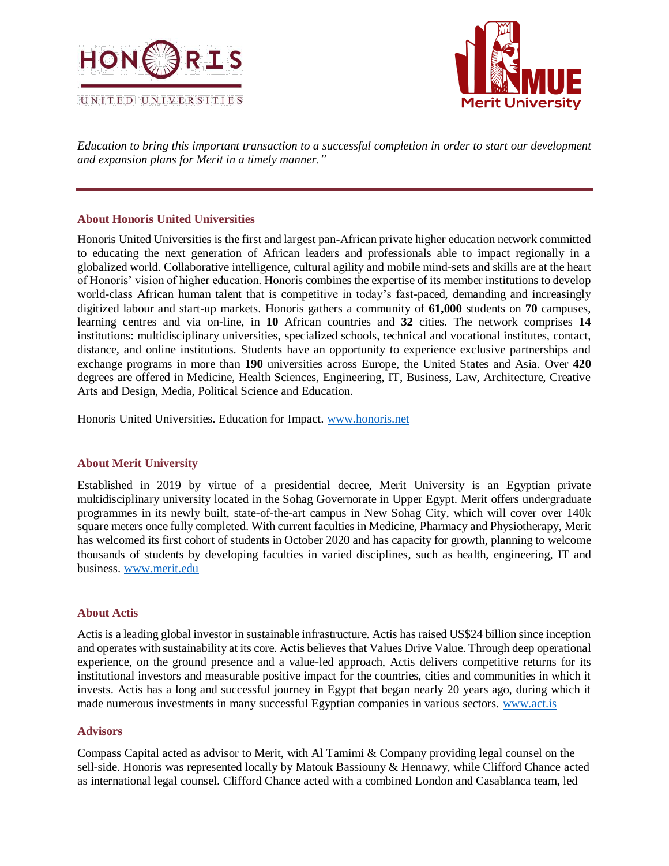



*Education to bring this important transaction to a successful completion in order to start our development and expansion plans for Merit in a timely manner."*

## **About Honoris United Universities**

Honoris United Universities is the first and largest pan-African private higher education network committed to educating the next generation of African leaders and professionals able to impact regionally in a globalized world. Collaborative intelligence, cultural agility and mobile mind-sets and skills are at the heart of Honoris' vision of higher education. Honoris combines the expertise of its member institutions to develop world-class African human talent that is competitive in today's fast-paced, demanding and increasingly digitized labour and start-up markets. Honoris gathers a community of **61,000** students on **70** campuses, learning centres and via on-line, in **10** African countries and **32** cities. The network comprises **14** institutions: multidisciplinary universities, specialized schools, technical and vocational institutes, contact, distance, and online institutions. Students have an opportunity to experience exclusive partnerships and exchange programs in more than **190** universities across Europe, the United States and Asia. Over **420** degrees are offered in Medicine, Health Sciences, Engineering, IT, Business, Law, Architecture, Creative Arts and Design, Media, Political Science and Education.

Honoris United Universities. Education for Impact. [www.honoris.net](http://www.honoris.net/)

### **About Merit University**

Established in 2019 by virtue of a presidential decree, Merit University is an Egyptian private multidisciplinary university located in the Sohag Governorate in Upper Egypt. Merit offers undergraduate programmes in its newly built, state-of-the-art campus in New Sohag City, which will cover over 140k square meters once fully completed. With current faculties in Medicine, Pharmacy and Physiotherapy, Merit has welcomed its first cohort of students in October 2020 and has capacity for growth, planning to welcome thousands of students by developing faculties in varied disciplines, such as health, engineering, IT and business. [www.merit.edu](http://www.merit.edu/)

### **About Actis**

Actis is a leading global investor in sustainable infrastructure. Actis has raised US\$24 billion since inception and operates with sustainability at its core. Actis believes that Values Drive Value. Through deep operational experience, on the ground presence and a value-led approach, Actis delivers competitive returns for its institutional investors and measurable positive impact for the countries, cities and communities in which it invests. Actis has a long and successful journey in Egypt that began nearly 20 years ago, during which it made numerous investments in many successful Egyptian companies in various sectors. [www.act.is](http://www.act.is/)

### **Advisors**

Compass Capital acted as advisor to Merit, with Al Tamimi & Company providing legal counsel on the sell-side. Honoris was represented locally by Matouk Bassiouny & Hennawy, while Clifford Chance acted as international legal counsel. Clifford Chance acted with a combined London and Casablanca team, led